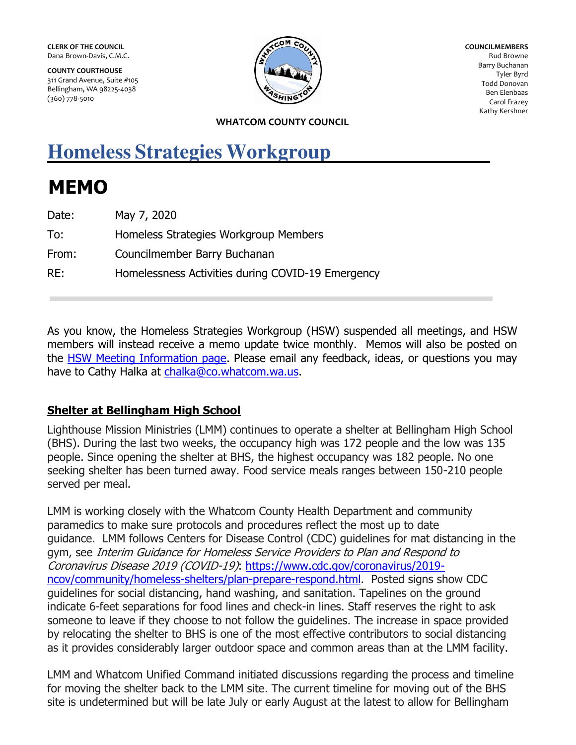**CLERK OF THE COUNCIL**  Dana Brown-Davis, C.M.C.

**COUNTY COURTHOUSE**  311 Grand Avenue, Suite #105 Bellingham, WA 98225-4038 (360) 778-5010



**COUNCILMEMBERS**  Rud Browne Barry Buchanan Tyler Byrd Todd Donovan Ben Elenbaas Carol Frazey Kathy Kershner

#### **WHATCOM COUNTY COUNCIL**

# **Homeless Strategies Workgroup**

# **MEMO**

| Date: | May 7, 2020                                       |
|-------|---------------------------------------------------|
| To:   | Homeless Strategies Workgroup Members             |
| From: | Councilmember Barry Buchanan                      |
| RE:   | Homelessness Activities during COVID-19 Emergency |

As you know, the Homeless Strategies Workgroup (HSW) suspended all meetings, and HSW members will instead receive a memo update twice monthly. Memos will also be posted on the [HSW Meeting Information page.](http://whatcomcounty.us/2748/Homeless-Strategies-Workgroup-Meeting-In) Please email any feedback, ideas, or questions you may have to Cathy Halka at [chalka@co.whatcom.wa.us.](mailto:chalka@co.whatcom.wa.us)

## **Shelter at Bellingham High School**

Lighthouse Mission Ministries (LMM) continues to operate a shelter at Bellingham High School (BHS). During the last two weeks, the occupancy high was 172 people and the low was 135 people. Since opening the shelter at BHS, the highest occupancy was 182 people. No one seeking shelter has been turned away. Food service meals ranges between 150-210 people served per meal.

LMM is working closely with the Whatcom County Health Department and community paramedics to make sure protocols and procedures reflect the most up to date guidance. LMM follows Centers for Disease Control (CDC) guidelines for mat distancing in the gym, see Interim Guidance for Homeless Service Providers to Plan and Respond to Coronavirus Disease 2019 (COVID-19): [https://www.cdc.gov/coronavirus/2019](https://www.cdc.gov/coronavirus/2019-ncov/community/homeless-shelters/plan-prepare-respond.html) [ncov/community/homeless-shelters/plan-prepare-respond.html.](https://www.cdc.gov/coronavirus/2019-ncov/community/homeless-shelters/plan-prepare-respond.html) Posted signs show CDC guidelines for social distancing, hand washing, and sanitation. Tapelines on the ground indicate 6-feet separations for food lines and check-in lines. Staff reserves the right to ask someone to leave if they choose to not follow the guidelines. The increase in space provided by relocating the shelter to BHS is one of the most effective contributors to social distancing as it provides considerably larger outdoor space and common areas than at the LMM facility.

LMM and Whatcom Unified Command initiated discussions regarding the process and timeline for moving the shelter back to the LMM site. The current timeline for moving out of the BHS site is undetermined but will be late July or early August at the latest to allow for Bellingham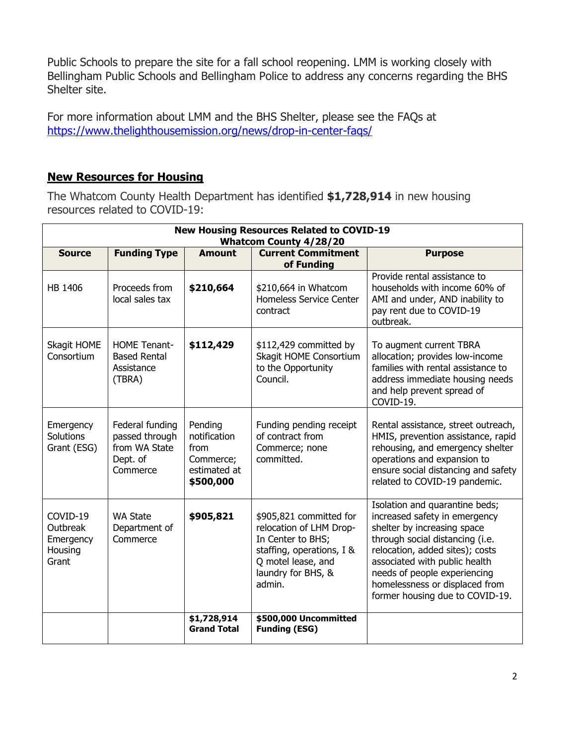Public Schools to prepare the site for a fall school reopening. LMM is working closely with Bellingham Public Schools and Bellingham Police to address any concerns regarding the BHS Shelter site.

For more information about LMM and the BHS Shelter, please see the FAQs at <https://www.thelighthousemission.org/news/drop-in-center-faqs/>

### **New Resources for Housing**

The Whatcom County Health Department has identified **\$1,728,914** in new housing resources related to COVID-19:

| <b>New Housing Resources Related to COVID-19</b><br><b>Whatcom County 4/28/20</b> |                                                                            |                                                                           |                                                                                                                                                            |                                                                                                                                                                                                                                                                                                            |  |
|-----------------------------------------------------------------------------------|----------------------------------------------------------------------------|---------------------------------------------------------------------------|------------------------------------------------------------------------------------------------------------------------------------------------------------|------------------------------------------------------------------------------------------------------------------------------------------------------------------------------------------------------------------------------------------------------------------------------------------------------------|--|
| <b>Source</b>                                                                     | <b>Funding Type</b>                                                        | <b>Amount</b>                                                             | <b>Current Commitment</b><br>of Funding                                                                                                                    | <b>Purpose</b>                                                                                                                                                                                                                                                                                             |  |
| HB 1406                                                                           | Proceeds from<br>local sales tax                                           | \$210,664                                                                 | \$210,664 in Whatcom<br><b>Homeless Service Center</b><br>contract                                                                                         | Provide rental assistance to<br>households with income 60% of<br>AMI and under, AND inability to<br>pay rent due to COVID-19<br>outbreak.                                                                                                                                                                  |  |
| Skagit HOME<br>Consortium                                                         | <b>HOME Tenant-</b><br><b>Based Rental</b><br>Assistance<br>(TBRA)         | \$112,429                                                                 | \$112,429 committed by<br>Skagit HOME Consortium<br>to the Opportunity<br>Council.                                                                         | To augment current TBRA<br>allocation; provides low-income<br>families with rental assistance to<br>address immediate housing needs<br>and help prevent spread of<br>COVID-19.                                                                                                                             |  |
| Emergency<br>Solutions<br>Grant (ESG)                                             | Federal funding<br>passed through<br>from WA State<br>Dept. of<br>Commerce | Pending<br>notification<br>from<br>Commerce;<br>estimated at<br>\$500,000 | Funding pending receipt<br>of contract from<br>Commerce; none<br>committed.                                                                                | Rental assistance, street outreach,<br>HMIS, prevention assistance, rapid<br>rehousing, and emergency shelter<br>operations and expansion to<br>ensure social distancing and safety<br>related to COVID-19 pandemic.                                                                                       |  |
| COVID-19<br>Outbreak<br>Emergency<br>Housing<br>Grant                             | <b>WA State</b><br>Department of<br>Commerce                               | \$905,821                                                                 | \$905,821 committed for<br>relocation of LHM Drop-<br>In Center to BHS;<br>staffing, operations, I &<br>Q motel lease, and<br>laundry for BHS, &<br>admin. | Isolation and quarantine beds;<br>increased safety in emergency<br>shelter by increasing space<br>through social distancing (i.e.<br>relocation, added sites); costs<br>associated with public health<br>needs of people experiencing<br>homelessness or displaced from<br>former housing due to COVID-19. |  |
|                                                                                   |                                                                            | \$1,728,914<br><b>Grand Total</b>                                         | \$500,000 Uncommitted<br><b>Funding (ESG)</b>                                                                                                              |                                                                                                                                                                                                                                                                                                            |  |